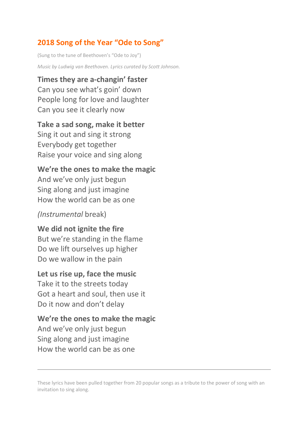### **2018 Song of the Year "Ode to Song"**

(Sung to the tune of Beethoven's "Ode to Joy") *Music by Ludwig van Beethoven. Lyrics curated by Scott Johnson.*

**Times they are a-changin' faster** Can you see what's goin' down People long for love and laughter Can you see it clearly now

#### **Take a sad song, make it better**

Sing it out and sing it strong Everybody get together Raise your voice and sing along

### **We're the ones to make the magic**

And we've only just begun Sing along and just imagine How the world can be as one

### *(Instrumental* break)

### **We did not ignite the fire**

But we're standing in the flame Do we lift ourselves up higher Do we wallow in the pain

#### **Let us rise up, face the music**

Take it to the streets today Got a heart and soul, then use it Do it now and don't delay

### **We're the ones to make the magic**

And we've only just begun Sing along and just imagine How the world can be as one

These lyrics have been pulled together from 20 popular songs as a tribute to the power of song with an invitation to sing along.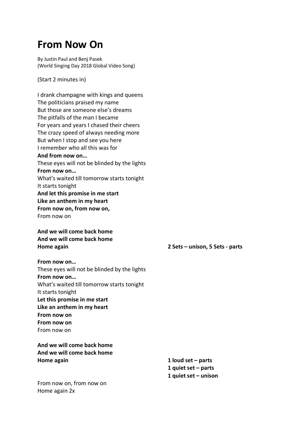### **From Now On**

By Justin Paul and Benj Pasek (World Singing Day 2018 Global Video Song)

(Start 2 minutes in)

I drank champagne with kings and queens The politicians praised my name But those are someone else's dreams The pitfalls of the man I became For years and years I chased their cheers The crazy speed of always needing more But when I stop and see you here I remember who all this was for **And from now on…** These eyes will not be blinded by the lights **From now on…** What's waited till tomorrow starts tonight It starts tonight **And let this promise in me start Like an anthem in my heart From now on, from now on,** From now on

**And we will come back home And we will come back home**

**Home again 2 Sets – unison, 5 Sets - parts**

**From now on…** These eyes will not be blinded by the lights **From now on…** What's waited till tomorrow starts tonight It starts tonight **Let this promise in me start Like an anthem in my heart From now on From now on** From now on

**And we will come back home And we will come back home Home again 1 loud set – parts**

**1 quiet set – parts 1 quiet set – unison**

From now on, from now on Home again 2x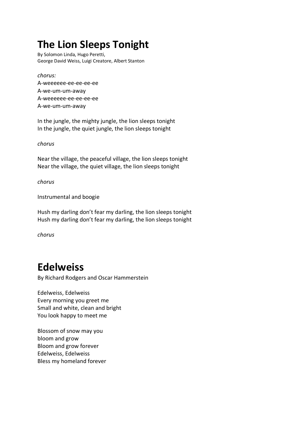## **The Lion Sleeps Tonight**

By Solomon Linda, Hugo Peretti, George David Weiss, Luigi Creatore, Albert Stanton

*chorus:* A-weeeeee-ee-ee-ee-ee A-we-um-um-away A-weeeeee-ee-ee-ee-ee A-we-um-um-away

In the jungle, the mighty jungle, the lion sleeps tonight In the jungle, the quiet jungle, the lion sleeps tonight

*chorus*

Near the village, the peaceful village, the lion sleeps tonight Near the village, the quiet village, the lion sleeps tonight

*chorus*

Instrumental and boogie

Hush my darling don't fear my darling, the lion sleeps tonight Hush my darling don't fear my darling, the lion sleeps tonight

*chorus*

### **Edelweiss**

By Richard Rodgers and Oscar Hammerstein

Edelweiss, Edelweiss Every morning you greet me Small and white, clean and bright You look happy to meet me

Blossom of snow may you bloom and grow Bloom and grow forever Edelweiss, Edelweiss Bless my homeland forever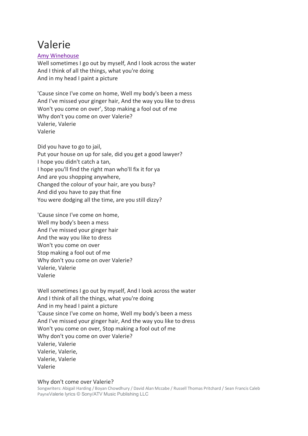### Valerie

Amy Winehouse

Well sometimes I go out by myself, And I look across the water And I think of all the things, what you're doing And in my head I paint a picture

'Cause since I've come on home, Well my body's been a mess And I've missed your ginger hair, And the way you like to dress Won't you come on over', Stop making a fool out of me Why don't you come on over Valerie? Valerie, Valerie Valerie

Did you have to go to jail, Put your house on up for sale, did you get a good lawyer? I hope you didn't catch a tan, I hope you'll find the right man who'll fix it for ya And are you shopping anywhere, Changed the colour of your hair, are you busy? And did you have to pay that fine You were dodging all the time, are you still dizzy?

'Cause since I've come on home, Well my body's been a mess And I've missed your ginger hair And the way you like to dress Won't you come on over Stop making a fool out of me Why don't you come on over Valerie? Valerie, Valerie Valerie

Well sometimes I go out by myself, And I look across the water And I think of all the things, what you're doing And in my head I paint a picture 'Cause since I've come on home, Well my body's been a mess And I've missed your ginger hair, And the way you like to dress Won't you come on over, Stop making a fool out of me Why don't you come on over Valerie? Valerie, Valerie Valerie, Valerie, Valerie, Valerie Valerie

#### Why don't come over Valerie?

Songwriters: Abigail Harding / Boyan Chowdhury / David Alan Mccabe / Russell Thomas Pritchard / Sean Francis Caleb PayneValerie lyrics © Sony/ATV Music Publishing LLC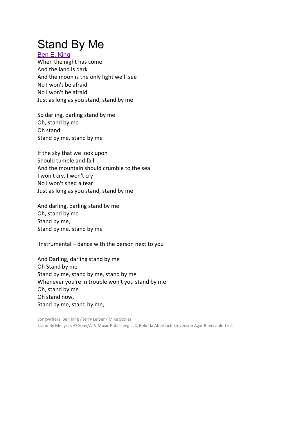# Stand By Me

Ben E. King When the night has come And the land is dark And the moon is the only light we'll see No I won't be afraid No I won't be afraid Just as long as you stand, stand by me

So darling, darling stand by me Oh, stand by me Oh stand Stand by me, stand by me

If the sky that we look upon Should tumble and fall And the mountain should crumble to the sea I won't cry, I won't cry No I won't shed a tear Just as long as you stand, stand by me

And darling, darling stand by me Oh, stand by me Stand by me, Stand by me, stand by me

Instrumental – dance with the person next to you

And Darling, darling stand by me Oh Stand by me Stand by me, stand by me, stand by me Whenever you're in trouble won't you stand by me Oh, stand by me Oh stand now, Stand by me, stand by me,

Songwriters: Ben King / Jerry Leiber / Mike Stoller Stand By Me lyrics © Sony/ATV Music Publishing LLC, Belinda Aberbach Stevenson Agar Revocable Trust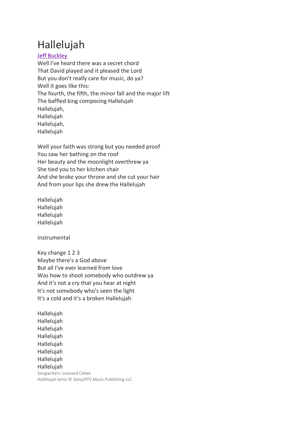# Hallelujah

Jeff Buckley

Well I've heard there was a secret chord That David played and it pleased the Lord But you don't really care for music, do ya? Well it goes like this: The fourth, the fifth, the minor fall and the major lift The baffled king composing Hallelujah Hallelujah, Hallelujah Hallelujah, Hallelujah

Well your faith was strong but you needed proof You saw her bathing on the roof Her beauty and the moonlight overthrew ya She tied you to her kitchen chair And she broke your throne and she cut your hair And from your lips she drew the Hallelujah

Hallelujah Hallelujah Hallelujah Hallelujah

Instrumental

Key change 1 2 3 Maybe there's a God above But all I've ever learned from love Was how to shoot somebody who outdrew ya And it's not a cry that you hear at night It's not somebody who's seen the light It's a cold and it's a broken Hallelujah

Hallelujah Hallelujah Hallelujah Hallelujah Hallelujah Hallelujah Hallelujah Hallelujah Songwriters: Leonard Cohen Hallelujah lyrics © Sony/ATV Music Publishing LLC